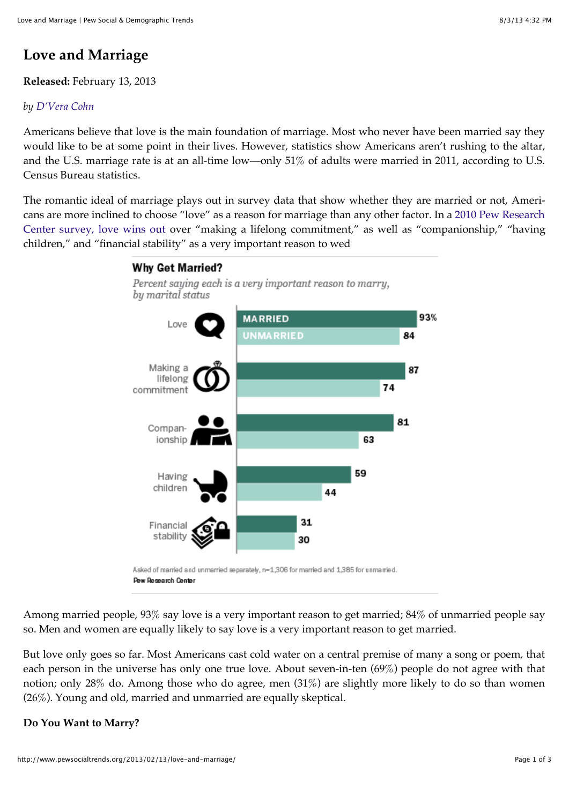# **Love and Marriage**

## **Released:** February 13, 2013

#### *by [D'Vera Cohn](http://www.pewsocialtrends.org/author/dcohn/)*

Americans believe that love is the main foundation of marriage. Most who never have been married say they would like to be at some point in their lives. However, statistics show Americans aren't rushing to the altar, and the U.S. marriage rate is at an all-time low—only 51% of adults were married in 2011, according to U.S. Census Bureau statistics.

The romantic ideal of marriage plays out in survey data that show whether they are married or not, Americans are more inclined to choose "love" as a reason for marriage than any other factor. In a 2010 Pew Research [Center survey, love wins out over "making a lifelong commitment," as well as "companionship," "having](http://www.pewsocialtrends.org/2010/11/18/the-decline-of-marriage-and-rise-of-new-families/) children," and "financial stability" as a very important reason to wed



Among married people, 93% say love is a very important reason to get married; 84% of unmarried people say so. Men and women are equally likely to say love is a very important reason to get married.

But love only goes so far. Most Americans cast cold water on a central premise of many a song or poem, that each person in the universe has only one true love. About seven-in-ten (69%) people do not agree with that notion; only 28% do. Among those who do agree, men (31%) are slightly more likely to do so than women (26%). Young and old, married and unmarried are equally skeptical.

## **Do You Want to Marry?**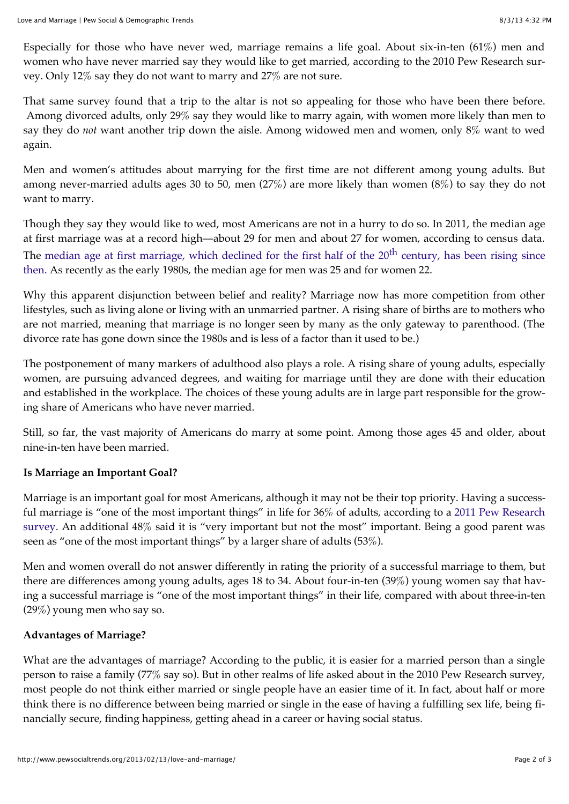Especially for those who have never wed, marriage remains a life goal. About six-in-ten  $(61\%)$  men and women who have never married say they would like to get married, according to the 2010 Pew Research survey. Only 12% say they do not want to marry and 27% are not sure.

That same survey found that a trip to the altar is not so appealing for those who have been there before. Among divorced adults, only 29% say they would like to marry again, with women more likely than men to say they do *not* want another trip down the aisle. Among widowed men and women, only 8% want to wed again.

Men and women's attitudes about marrying for the first time are not different among young adults. But among never-married adults ages 30 to 50, men (27%) are more likely than women (8%) to say they do not want to marry.

Though they say they would like to wed, most Americans are not in a hurry to do so. In 2011, the median age at first marriage was at a record high—about 29 for men and about 27 for women, according to census data. The median age at first marriage, which declined for the first half of the 20<sup>th</sup> century, has been rising since [then. As recently as the early 1980s, the median age for men was 25 and for women 22.](http://www.google.com/url?sa=t&rct=j&q=site%3Acensus.gov%20median%20age%20at%20first%20marriage&source=web&cd=3&cad=rja&ved=0CD0QFjAC&url=http%3A%2F%2Fwww.census.gov%2Fhhes%2Fsocdemo%2Fmarriage%2Fdata%2Facs%2FElliottetalPAA2012presentation.pdf&ei=wPMbUalTjrjQAYz9gKAD&usg=AFQjCNH8MQ7i3ce-njRy1zVxT_LFlBA61g&bvm=bv.42261806,d.dmQ)

Why this apparent disjunction between belief and reality? Marriage now has more competition from other lifestyles, such as living alone or living with an unmarried partner. A rising share of births are to mothers who are not married, meaning that marriage is no longer seen by many as the only gateway to parenthood. (The divorce rate has gone down since the 1980s and is less of a factor than it used to be.)

The postponement of many markers of adulthood also plays a role. A rising share of young adults, especially women, are pursuing advanced degrees, and waiting for marriage until they are done with their education and established in the workplace. The choices of these young adults are in large part responsible for the growing share of Americans who have never married.

Still, so far, the vast majority of Americans do marry at some point. Among those ages 45 and older, about nine-in-ten have been married.

## **Is Marriage an Important Goal?**

Marriage is an important goal for most Americans, although it may not be their top priority. Having a successful marriage is "one of the most important things" in life for 36% of adults, according to a 2011 Pew Research [survey. An additional 48% said it is "very important but not the most" important. Being a good parent was](http://www.pewsocialtrends.org/2012/02/09/young-underemployed-and-optimistic/) seen as "one of the most important things" by a larger share of adults (53%).

Men and women overall do not answer differently in rating the priority of a successful marriage to them, but there are differences among young adults, ages 18 to 34. About four-in-ten (39%) young women say that having a successful marriage is "one of the most important things" in their life, compared with about three-in-ten (29%) young men who say so.

## **Advantages of Marriage?**

What are the advantages of marriage? According to the public, it is easier for a married person than a single person to raise a family (77% say so). But in other realms of life asked about in the 2010 Pew Research survey, most people do not think either married or single people have an easier time of it. In fact, about half or more think there is no difference between being married or single in the ease of having a fulfilling sex life, being financially secure, finding happiness, getting ahead in a career or having social status.